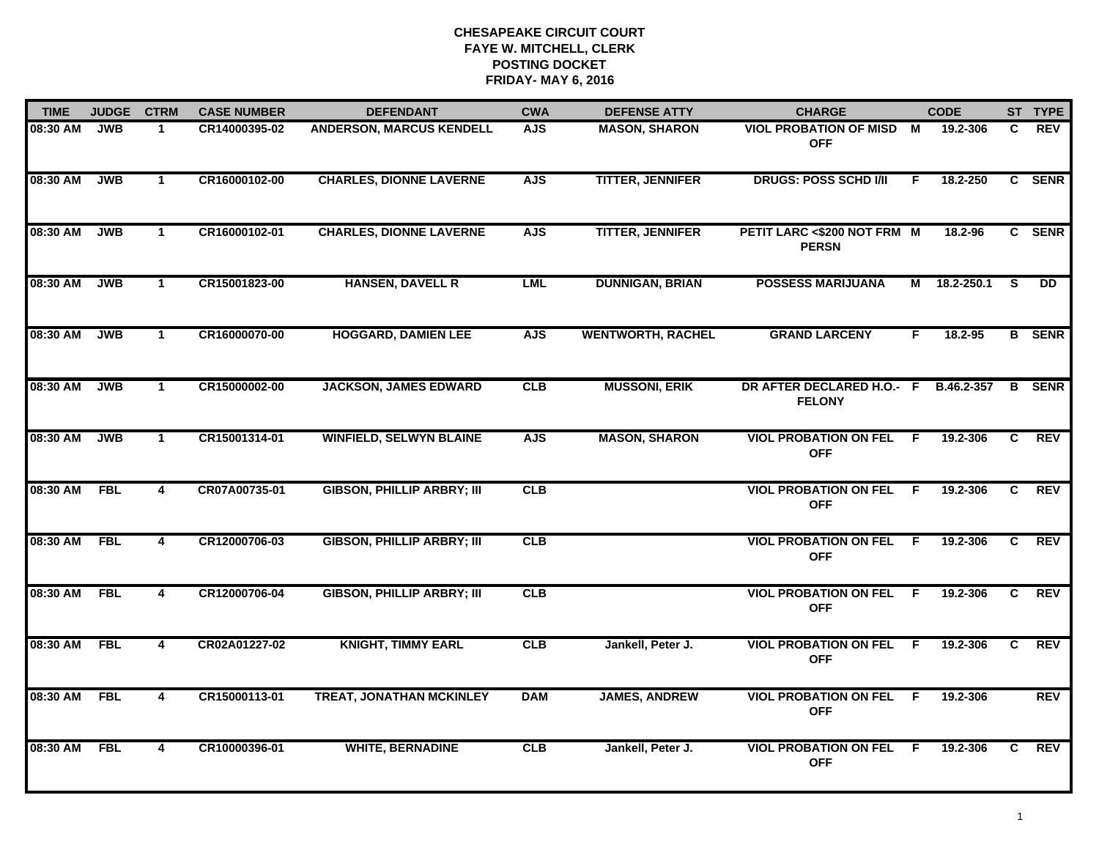| <b>TIME</b>  | <b>JUDGE</b> | <b>CTRM</b>             | <b>CASE NUMBER</b> | <b>DEFENDANT</b>                  | <b>CWA</b> | <b>DEFENSE ATTY</b>      | <b>CHARGE</b>                                         |     | <b>CODE</b> |          | ST TYPE       |
|--------------|--------------|-------------------------|--------------------|-----------------------------------|------------|--------------------------|-------------------------------------------------------|-----|-------------|----------|---------------|
| 08:30 AM     | <b>JWB</b>   | 1.                      | CR14000395-02      | <b>ANDERSON, MARCUS KENDELL</b>   | <b>AJS</b> | <b>MASON, SHARON</b>     | <b>VIOL PROBATION OF MISD</b><br><b>OFF</b>           | M   | 19.2-306    | C.       | <b>REV</b>    |
| 08:30 AM     | <b>JWB</b>   | $\mathbf{1}$            | CR16000102-00      | <b>CHARLES, DIONNE LAVERNE</b>    | <b>AJS</b> | <b>TITTER, JENNIFER</b>  | <b>DRUGS: POSS SCHD I/II</b>                          | F.  | 18.2-250    |          | C SENR        |
| 08:30 AM     | <b>JWB</b>   | $\mathbf{1}$            | CR16000102-01      | <b>CHARLES, DIONNE LAVERNE</b>    | <b>AJS</b> | <b>TITTER, JENNIFER</b>  | PETIT LARC <\$200 NOT FRM M<br><b>PERSN</b>           |     | 18.2-96     |          | C SENR        |
| 08:30 AM     | <b>JWB</b>   | $\mathbf{1}$            | CR15001823-00      | <b>HANSEN, DAVELL R</b>           | <b>LML</b> | <b>DUNNIGAN, BRIAN</b>   | <b>POSSESS MARIJUANA</b>                              | M   | 18.2-250.1  | <b>S</b> | DD.           |
| 08:30 AM     | <b>JWB</b>   | $\mathbf{1}$            | CR16000070-00      | <b>HOGGARD, DAMIEN LEE</b>        | <b>AJS</b> | <b>WENTWORTH, RACHEL</b> | <b>GRAND LARCENY</b>                                  | F.  | 18.2-95     |          | <b>B</b> SENR |
| 08:30 AM     | <b>JWB</b>   | $\mathbf{1}$            | CR15000002-00      | <b>JACKSON, JAMES EDWARD</b>      | CLB        | <b>MUSSONI, ERIK</b>     | DR AFTER DECLARED H.O.- F B.46.2-357<br><b>FELONY</b> |     |             | B        | <b>SENR</b>   |
| 08:30 AM     | <b>JWB</b>   | $\mathbf{1}$            | CR15001314-01      | <b>WINFIELD, SELWYN BLAINE</b>    | <b>AJS</b> | <b>MASON, SHARON</b>     | <b>VIOL PROBATION ON FEL</b><br><b>OFF</b>            | F.  | 19.2-306    | C.       | <b>REV</b>    |
| 08:30 AM     | <b>FBL</b>   | 4                       | CR07A00735-01      | <b>GIBSON, PHILLIP ARBRY; III</b> | <b>CLB</b> |                          | <b>VIOL PROBATION ON FEL</b><br><b>OFF</b>            | - F | 19.2-306    | C.       | <b>REV</b>    |
| 08:30 AM     | <b>FBL</b>   | 4                       | CR12000706-03      | <b>GIBSON, PHILLIP ARBRY; III</b> | <b>CLB</b> |                          | <b>VIOL PROBATION ON FEL</b><br><b>OFF</b>            | -F  | 19.2-306    | C.       | <b>REV</b>    |
| 08:30 AM FBL |              | 4                       | CR12000706-04      | <b>GIBSON, PHILLIP ARBRY; III</b> | CLB        |                          | <b>VIOL PROBATION ON FEL</b><br><b>OFF</b>            | - F | 19.2-306    | C        | <b>REV</b>    |
| 08:30 AM     | <b>FBL</b>   | $\overline{\mathbf{4}}$ | CR02A01227-02      | <b>KNIGHT, TIMMY EARL</b>         | CLB        | Jankell, Peter J.        | <b>VIOL PROBATION ON FEL F</b><br><b>OFF</b>          |     | 19.2-306    | C        | <b>REV</b>    |
| 08:30 AM     | <b>FBL</b>   | $\overline{\mathbf{4}}$ | CR15000113-01      | <b>TREAT, JONATHAN MCKINLEY</b>   | <b>DAM</b> | <b>JAMES, ANDREW</b>     | <b>VIOL PROBATION ON FEL</b><br><b>OFF</b>            | F.  | 19.2-306    |          | <b>REV</b>    |
| 08:30 AM     | <b>FBL</b>   | 4                       | CR10000396-01      | <b>WHITE, BERNADINE</b>           | CLB        | Jankell, Peter J.        | <b>VIOL PROBATION ON FEL</b><br><b>OFF</b>            | -F  | 19.2-306    | C.       | REV           |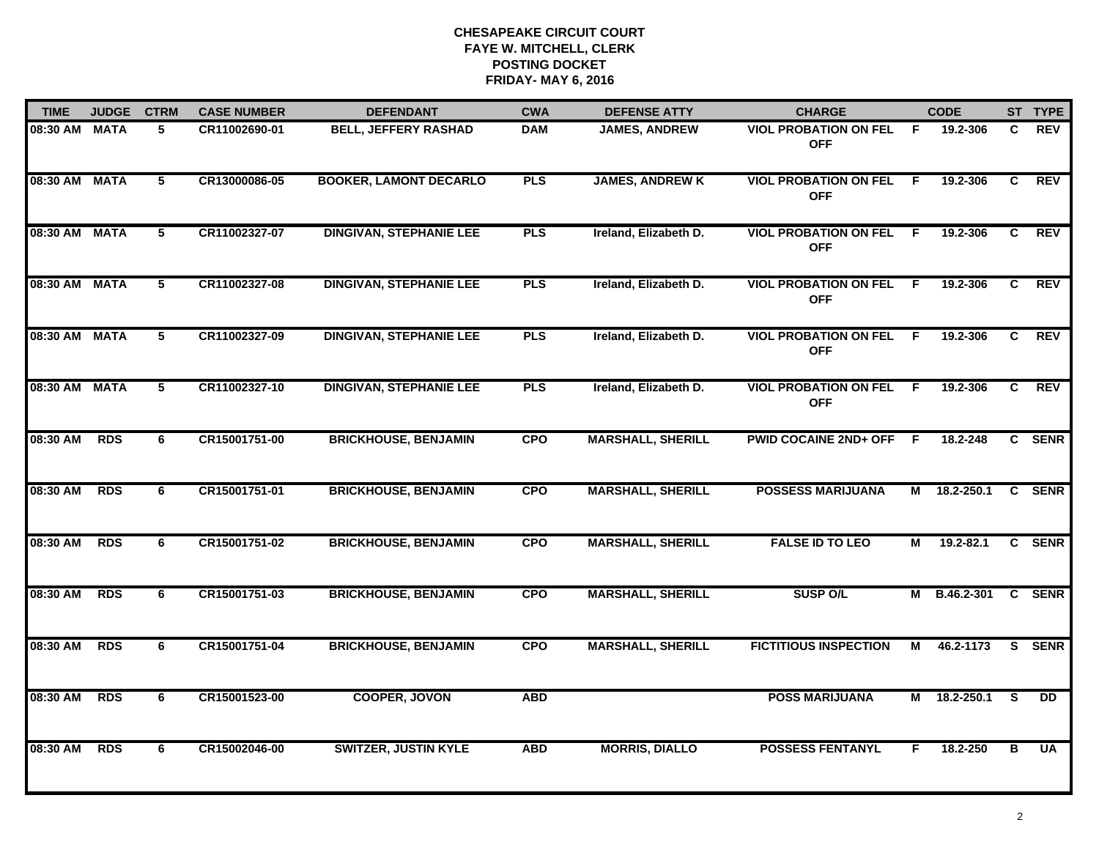| <b>TIME</b>   | <b>JUDGE</b> | <b>CTRM</b>     | <b>CASE NUMBER</b> | <b>DEFENDANT</b>               | <b>CWA</b> | <b>DEFENSE ATTY</b>      | <b>CHARGE</b>                              |                | <b>CODE</b>  |                | ST TYPE        |
|---------------|--------------|-----------------|--------------------|--------------------------------|------------|--------------------------|--------------------------------------------|----------------|--------------|----------------|----------------|
| 08:30 AM MATA |              | 5               | CR11002690-01      | <b>BELL, JEFFERY RASHAD</b>    | <b>DAM</b> | <b>JAMES, ANDREW</b>     | <b>VIOL PROBATION ON FEL</b><br><b>OFF</b> | F.             | 19.2-306     | C.             | <b>REV</b>     |
| 08:30 AM MATA |              | $5\phantom{.0}$ | CR13000086-05      | <b>BOOKER, LAMONT DECARLO</b>  | <b>PLS</b> | <b>JAMES, ANDREW K</b>   | <b>VIOL PROBATION ON FEL</b><br><b>OFF</b> | -F             | 19.2-306     | C              | <b>REV</b>     |
| 08:30 AM MATA |              | $\overline{5}$  | CR11002327-07      | <b>DINGIVAN, STEPHANIE LEE</b> | <b>PLS</b> | Ireland, Elizabeth D.    | <b>VIOL PROBATION ON FEL</b><br><b>OFF</b> | $\overline{F}$ | 19.2-306     | $\overline{c}$ | <b>REV</b>     |
| 08:30 AM MATA |              | 5               | CR11002327-08      | <b>DINGIVAN, STEPHANIE LEE</b> | <b>PLS</b> | Ireland, Elizabeth D.    | <b>VIOL PROBATION ON FEL</b><br><b>OFF</b> | F.             | 19.2-306     | C              | <b>REV</b>     |
| 08:30 AM MATA |              | 5               | CR11002327-09      | <b>DINGIVAN, STEPHANIE LEE</b> | <b>PLS</b> | Ireland, Elizabeth D.    | <b>VIOL PROBATION ON FEL</b><br><b>OFF</b> | -F.            | 19.2-306     | C.             | <b>REV</b>     |
| 08:30 AM MATA |              | $5\phantom{.0}$ | CR11002327-10      | <b>DINGIVAN, STEPHANIE LEE</b> | <b>PLS</b> | Ireland, Elizabeth D.    | <b>VIOL PROBATION ON FEL</b><br><b>OFF</b> | -F             | 19.2-306     | C.             | <b>REV</b>     |
| 08:30 AM      | <b>RDS</b>   | 6               | CR15001751-00      | <b>BRICKHOUSE, BENJAMIN</b>    | <b>CPO</b> | <b>MARSHALL, SHERILL</b> | <b>PWID COCAINE 2ND+ OFF</b>               | - F            | 18.2-248     | $\mathbf{c}$   | <b>SENR</b>    |
| 08:30 AM      | <b>RDS</b>   | 6               | CR15001751-01      | <b>BRICKHOUSE, BENJAMIN</b>    | <b>CPO</b> | <b>MARSHALL, SHERILL</b> | <b>POSSESS MARIJUANA</b>                   | M              | 18.2-250.1   |                | C SENR         |
| 08:30 AM      | <b>RDS</b>   | 6               | CR15001751-02      | <b>BRICKHOUSE, BENJAMIN</b>    | <b>CPO</b> | <b>MARSHALL, SHERILL</b> | <b>FALSE ID TO LEO</b>                     | М              | 19.2-82.1    | $\mathbf{c}$   | <b>SENR</b>    |
| 08:30 AM      | <b>RDS</b>   | 6               | CR15001751-03      | <b>BRICKHOUSE, BENJAMIN</b>    | <b>CPO</b> | <b>MARSHALL, SHERILL</b> | <b>SUSP O/L</b>                            |                | M B.46.2-301 |                | C SENR         |
| 08:30 AM      | <b>RDS</b>   | 6               | CR15001751-04      | <b>BRICKHOUSE, BENJAMIN</b>    | <b>CPO</b> | <b>MARSHALL, SHERILL</b> | <b>FICTITIOUS INSPECTION</b>               | М              | 46.2-1173    |                | S SENR         |
| 08:30 AM      | <b>RDS</b>   | 6               | CR15001523-00      | <b>COOPER, JOVON</b>           | <b>ABD</b> |                          | <b>POSS MARIJUANA</b>                      |                | M 18.2-250.1 | - S            | $\overline{D}$ |
| 08:30 AM      | <b>RDS</b>   | 6               | CR15002046-00      | <b>SWITZER, JUSTIN KYLE</b>    | <b>ABD</b> | <b>MORRIS, DIALLO</b>    | <b>POSSESS FENTANYL</b>                    | F.             | 18.2-250     | в              | <b>UA</b>      |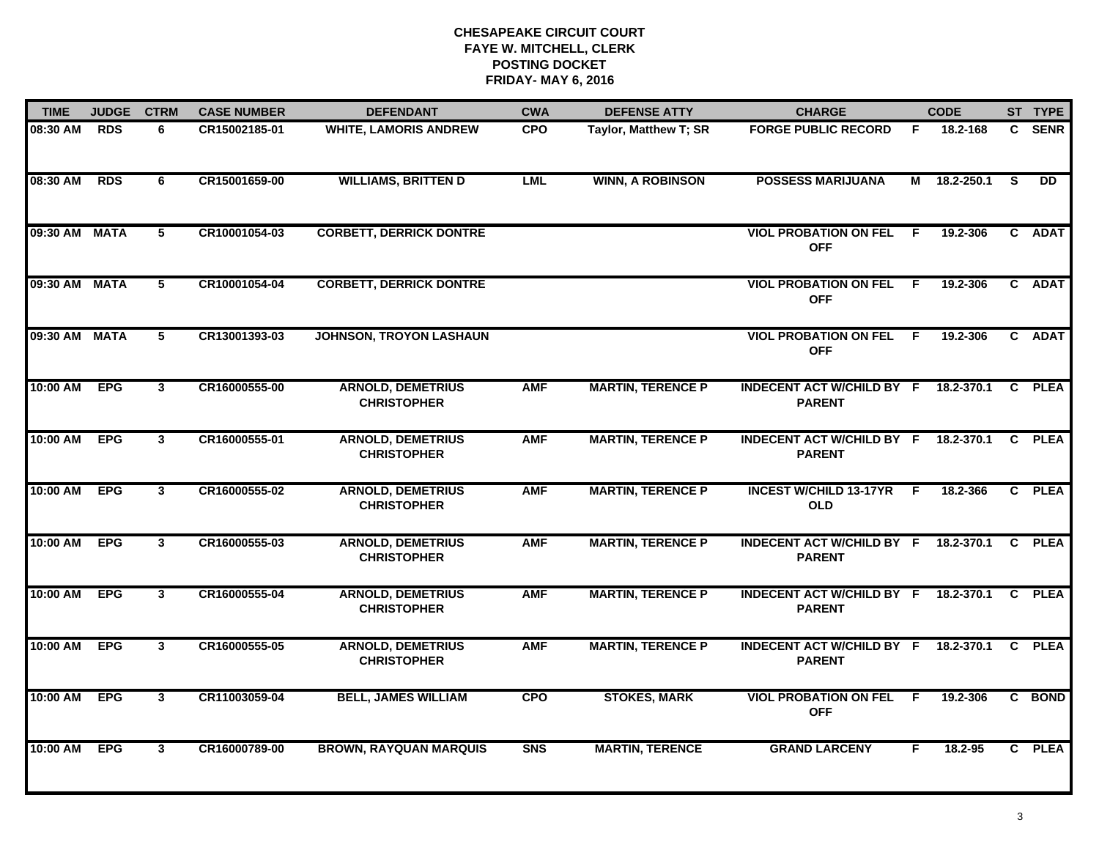| <b>TIME</b>   | <b>JUDGE</b> | <b>CTRM</b>             | <b>CASE NUMBER</b> | <b>DEFENDANT</b>                               | <b>CWA</b>     | <b>DEFENSE ATTY</b>      | <b>CHARGE</b>                                         |                | <b>CODE</b>  |              | ST TYPE     |
|---------------|--------------|-------------------------|--------------------|------------------------------------------------|----------------|--------------------------|-------------------------------------------------------|----------------|--------------|--------------|-------------|
| 08:30 AM      | <b>RDS</b>   | 6                       | CR15002185-01      | <b>WHITE, LAMORIS ANDREW</b>                   | <b>CPO</b>     | Taylor, Matthew T; SR    | <b>FORGE PUBLIC RECORD</b>                            | F.             | 18.2-168     |              | C SENR      |
| 08:30 AM      | <b>RDS</b>   | 6                       | CR15001659-00      | <b>WILLIAMS, BRITTEN D</b>                     | <b>LML</b>     | <b>WINN, A ROBINSON</b>  | <b>POSSESS MARIJUANA</b>                              |                | M 18.2-250.1 | -S           | <b>DD</b>   |
| 09:30 AM      | <b>MATA</b>  | 5                       | CR10001054-03      | <b>CORBETT, DERRICK DONTRE</b>                 |                |                          | <b>VIOL PROBATION ON FEL</b><br><b>OFF</b>            | F.             | 19.2-306     |              | C ADAT      |
| 09:30 AM MATA |              | 5                       | CR10001054-04      | <b>CORBETT, DERRICK DONTRE</b>                 |                |                          | <b>VIOL PROBATION ON FEL</b><br><b>OFF</b>            | -F             | 19.2-306     |              | C ADAT      |
| 09:30 AM MATA |              | 5                       | CR13001393-03      | JOHNSON, TROYON LASHAUN                        |                |                          | <b>VIOL PROBATION ON FEL F</b><br><b>OFF</b>          |                | 19.2-306     |              | C ADAT      |
| 10:00 AM EPG  |              | $\mathbf{3}$            | CR16000555-00      | <b>ARNOLD, DEMETRIUS</b><br><b>CHRISTOPHER</b> | <b>AMF</b>     | <b>MARTIN, TERENCE P</b> | INDECENT ACT W/CHILD BY F 18.2-370.1<br><b>PARENT</b> |                |              |              | C PLEA      |
| 10:00 AM EPG  |              | $\mathbf{3}$            | CR16000555-01      | <b>ARNOLD, DEMETRIUS</b><br><b>CHRISTOPHER</b> | <b>AMF</b>     | <b>MARTIN, TERENCE P</b> | INDECENT ACT W/CHILD BY F 18.2-370.1<br><b>PARENT</b> |                |              | <b>C</b>     | <b>PLEA</b> |
| 10:00 AM      | <b>EPG</b>   | $\overline{\mathbf{3}}$ | CR16000555-02      | <b>ARNOLD, DEMETRIUS</b><br><b>CHRISTOPHER</b> | <b>AMF</b>     | <b>MARTIN, TERENCE P</b> | <b>INCEST W/CHILD 13-17YR</b><br><b>OLD</b>           | $\overline{F}$ | 18.2-366     |              | C PLEA      |
| 10:00 AM      | <b>EPG</b>   | $\mathbf{3}$            | CR16000555-03      | <b>ARNOLD, DEMETRIUS</b><br><b>CHRISTOPHER</b> | <b>AMF</b>     | <b>MARTIN, TERENCE P</b> | INDECENT ACT W/CHILD BY F 18.2-370.1<br><b>PARENT</b> |                |              | $\mathbf{c}$ | <b>PLEA</b> |
| 10:00 AM      | <b>EPG</b>   | 3                       | CR16000555-04      | <b>ARNOLD, DEMETRIUS</b><br><b>CHRISTOPHER</b> | <b>AMF</b>     | <b>MARTIN, TERENCE P</b> | INDECENT ACT W/CHILD BY F 18.2-370.1<br><b>PARENT</b> |                |              | C .          | <b>PLEA</b> |
| 10:00 AM EPG  |              | $\mathbf{3}$            | CR16000555-05      | <b>ARNOLD, DEMETRIUS</b><br><b>CHRISTOPHER</b> | <b>AMF</b>     | <b>MARTIN, TERENCE P</b> | INDECENT ACT W/CHILD BY F 18.2-370.1<br><b>PARENT</b> |                |              | $\mathbf{C}$ | <b>PLEA</b> |
| 10:00 AM      | EPG          | $\mathbf{3}$            | CR11003059-04      | <b>BELL, JAMES WILLIAM</b>                     | <b>CPO</b>     | <b>STOKES, MARK</b>      | <b>VIOL PROBATION ON FEL F</b><br><b>OFF</b>          |                | 19.2-306     |              | C BOND      |
| 10:00 AM      | <b>EPG</b>   | $\overline{3}$          | CR16000789-00      | <b>BROWN, RAYQUAN MARQUIS</b>                  | S <sub>N</sub> | <b>MARTIN, TERENCE</b>   | <b>GRAND LARCENY</b>                                  | F.             | 18.2-95      |              | C PLEA      |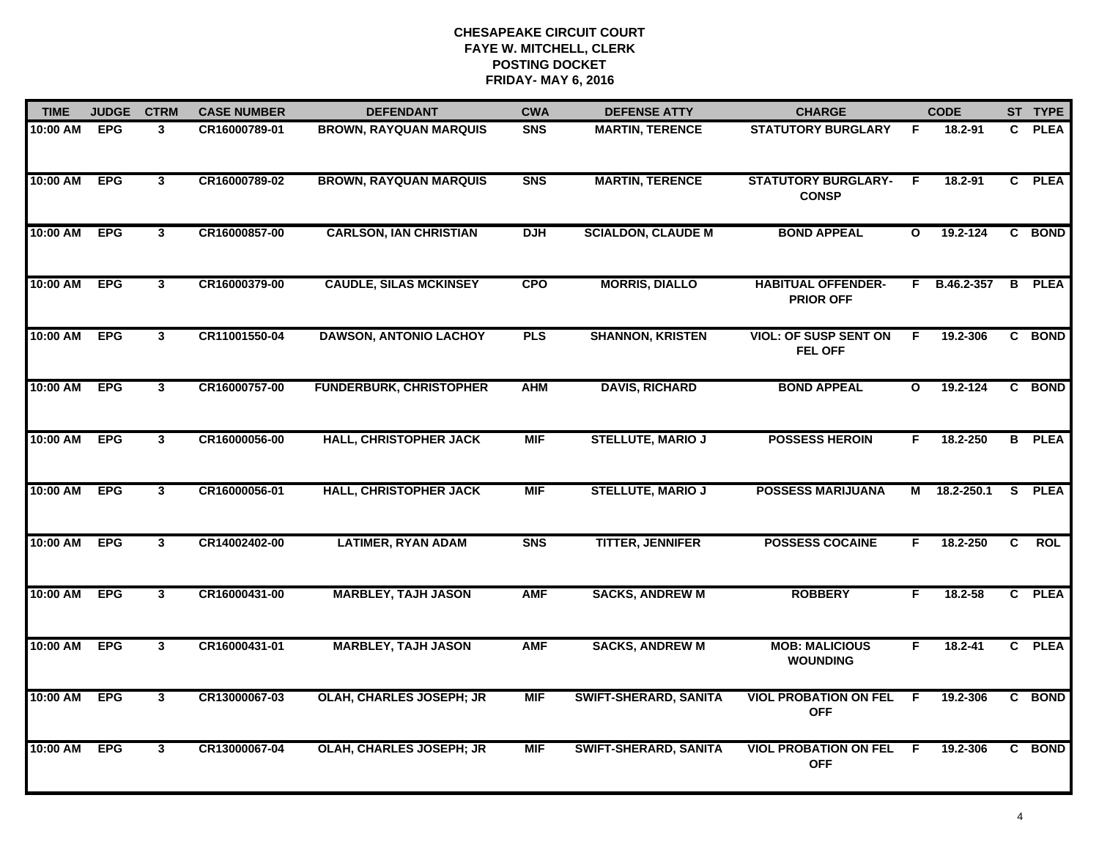| <b>TIME</b>  | <b>JUDGE</b> | <b>CTRM</b>    | <b>CASE NUMBER</b> | <b>DEFENDANT</b>                | <b>CWA</b> | <b>DEFENSE ATTY</b>          | <b>CHARGE</b>                                  |              | <b>CODE</b>  |              | ST TYPE       |
|--------------|--------------|----------------|--------------------|---------------------------------|------------|------------------------------|------------------------------------------------|--------------|--------------|--------------|---------------|
| 10:00 AM EPG |              | 3              | CR16000789-01      | <b>BROWN, RAYQUAN MARQUIS</b>   | <b>SNS</b> | <b>MARTIN, TERENCE</b>       | <b>STATUTORY BURGLARY</b>                      | F.           | 18.2-91      | C            | <b>PLEA</b>   |
| 10:00 AM EPG |              | $\mathbf{3}$   | CR16000789-02      | <b>BROWN, RAYQUAN MARQUIS</b>   | <b>SNS</b> | <b>MARTIN, TERENCE</b>       | <b>STATUTORY BURGLARY-</b><br><b>CONSP</b>     | F.           | 18.2-91      | $\mathbf{c}$ | <b>PLEA</b>   |
| 10:00 AM     | <b>EPG</b>   | $\mathbf{3}$   | CR16000857-00      | <b>CARLSON, IAN CHRISTIAN</b>   | <b>DJH</b> | <b>SCIALDON, CLAUDE M</b>    | <b>BOND APPEAL</b>                             | $\mathbf{o}$ | 19.2-124     |              | C BOND        |
| 10:00 AM     | <b>EPG</b>   | $\mathbf{3}$   | CR16000379-00      | <b>CAUDLE, SILAS MCKINSEY</b>   | <b>CPO</b> | <b>MORRIS, DIALLO</b>        | <b>HABITUAL OFFENDER-</b><br><b>PRIOR OFF</b>  | F.           | B.46.2-357   | B            | <b>PLEA</b>   |
| 10:00 AM     | <b>EPG</b>   | $\mathbf{3}$   | CR11001550-04      | <b>DAWSON, ANTONIO LACHOY</b>   | <b>PLS</b> | <b>SHANNON, KRISTEN</b>      | <b>VIOL: OF SUSP SENT ON</b><br><b>FEL OFF</b> | F.           | 19.2-306     |              | C BOND        |
| 10:00 AM     | <b>EPG</b>   | $\mathbf{3}$   | CR16000757-00      | <b>FUNDERBURK, CHRISTOPHER</b>  | <b>AHM</b> | <b>DAVIS, RICHARD</b>        | <b>BOND APPEAL</b>                             | $\mathbf{o}$ | 19.2-124     |              | C BOND        |
| 10:00 AM     | <b>EPG</b>   | $\overline{3}$ | CR16000056-00      | <b>HALL, CHRISTOPHER JACK</b>   | <b>MIF</b> | <b>STELLUTE, MARIO J</b>     | <b>POSSESS HEROIN</b>                          | F.           | 18.2-250     |              | <b>B</b> PLEA |
| 10:00 AM     | <b>EPG</b>   | $\mathbf{3}$   | CR16000056-01      | <b>HALL, CHRISTOPHER JACK</b>   | <b>MIF</b> | <b>STELLUTE, MARIO J</b>     | <b>POSSESS MARIJUANA</b>                       |              | M 18.2-250.1 | S.           | <b>PLEA</b>   |
| 10:00 AM     | <b>EPG</b>   | $\mathbf{3}$   | CR14002402-00      | <b>LATIMER, RYAN ADAM</b>       | <b>SNS</b> | <b>TITTER, JENNIFER</b>      | <b>POSSESS COCAINE</b>                         | F            | 18.2-250     | C            | <b>ROL</b>    |
| 10:00 AM     | <b>EPG</b>   | $\mathbf{3}$   | CR16000431-00      | <b>MARBLEY, TAJH JASON</b>      | <b>AMF</b> | <b>SACKS, ANDREW M</b>       | <b>ROBBERY</b>                                 | F            | 18.2-58      |              | C PLEA        |
| 10:00 AM     | <b>EPG</b>   | $\mathbf{3}$   | CR16000431-01      | <b>MARBLEY, TAJH JASON</b>      | <b>AMF</b> | <b>SACKS, ANDREW M</b>       | <b>MOB: MALICIOUS</b><br><b>WOUNDING</b>       | F.           | $18.2 - 41$  |              | C PLEA        |
| 10:00 AM     | <b>EPG</b>   | $\overline{3}$ | CR13000067-03      | <b>OLAH, CHARLES JOSEPH; JR</b> | <b>MIF</b> | <b>SWIFT-SHERARD, SANITA</b> | <b>VIOL PROBATION ON FEL</b><br><b>OFF</b>     | F.           | 19.2-306     |              | C BOND        |
| 10:00 AM     | <b>EPG</b>   | 3              | CR13000067-04      | <b>OLAH, CHARLES JOSEPH; JR</b> | <b>MIF</b> | <b>SWIFT-SHERARD, SANITA</b> | <b>VIOL PROBATION ON FEL</b><br><b>OFF</b>     | -F           | 19.2-306     |              | C BOND        |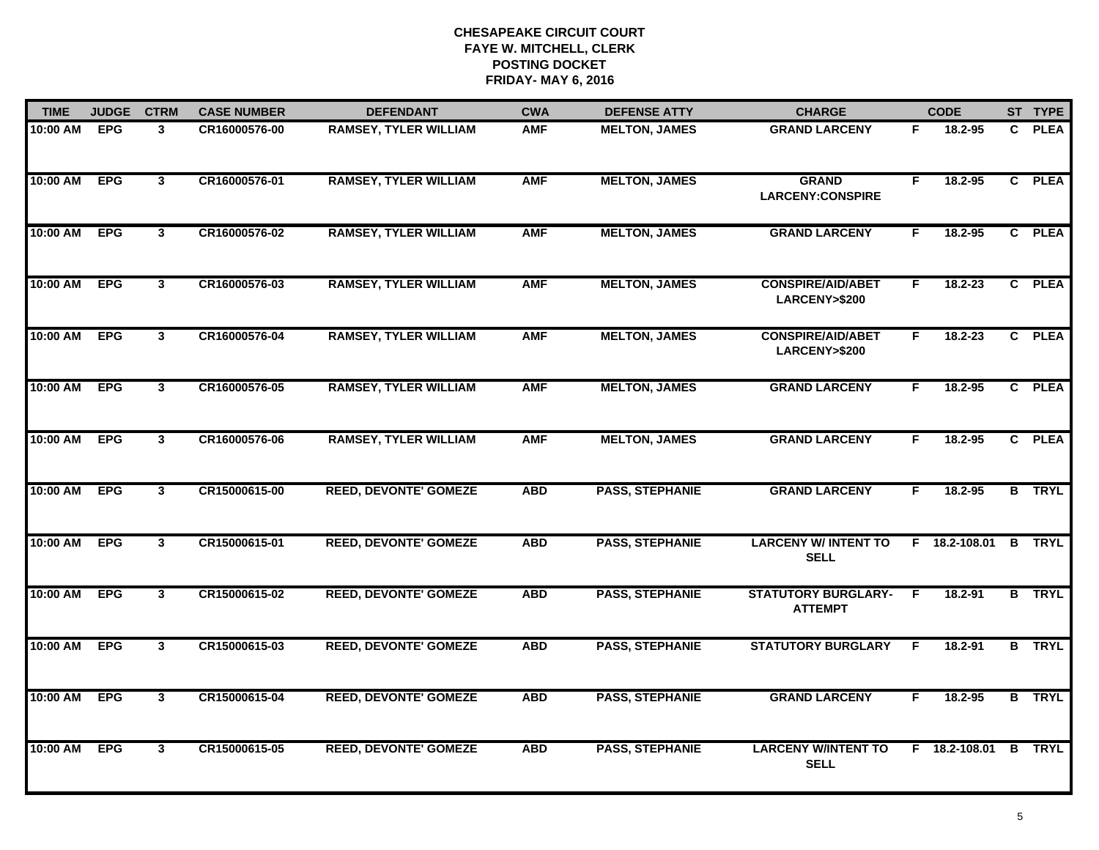| <b>TIME</b> | <b>JUDGE</b> | <b>CTRM</b>             | <b>CASE NUMBER</b> | <b>DEFENDANT</b>             | <b>CWA</b> | <b>DEFENSE ATTY</b>    | <b>CHARGE</b>                                |    | <b>CODE</b>   | ST TYPE       |
|-------------|--------------|-------------------------|--------------------|------------------------------|------------|------------------------|----------------------------------------------|----|---------------|---------------|
| 10:00 AM    | <b>EPG</b>   | 3                       | CR16000576-00      | <b>RAMSEY, TYLER WILLIAM</b> | <b>AMF</b> | <b>MELTON, JAMES</b>   | <b>GRAND LARCENY</b>                         | F. | 18.2-95       | C PLEA        |
| 10:00 AM    | <b>EPG</b>   | $\mathbf{3}$            | CR16000576-01      | <b>RAMSEY, TYLER WILLIAM</b> | <b>AMF</b> | <b>MELTON, JAMES</b>   | <b>GRAND</b><br><b>LARCENY:CONSPIRE</b>      | F. | 18.2-95       | C PLEA        |
| 10:00 AM    | <b>EPG</b>   | $\overline{3}$          | CR16000576-02      | <b>RAMSEY, TYLER WILLIAM</b> | <b>AMF</b> | <b>MELTON, JAMES</b>   | <b>GRAND LARCENY</b>                         | F  | 18.2-95       | C PLEA        |
| 10:00 AM    | <b>EPG</b>   | $\mathbf{3}$            | CR16000576-03      | <b>RAMSEY, TYLER WILLIAM</b> | <b>AMF</b> | <b>MELTON, JAMES</b>   | <b>CONSPIRE/AID/ABET</b><br>LARCENY>\$200    | F. | $18.2 - 23$   | C PLEA        |
| 10:00 AM    | <b>EPG</b>   | $\mathbf{3}$            | CR16000576-04      | <b>RAMSEY, TYLER WILLIAM</b> | <b>AMF</b> | <b>MELTON, JAMES</b>   | <b>CONSPIRE/AID/ABET</b><br>LARCENY>\$200    | F. | $18.2 - 23$   | C PLEA        |
| 10:00 AM    | <b>EPG</b>   | $\mathbf{3}$            | CR16000576-05      | <b>RAMSEY, TYLER WILLIAM</b> | <b>AMF</b> | <b>MELTON, JAMES</b>   | <b>GRAND LARCENY</b>                         | F. | 18.2-95       | C PLEA        |
| 10:00 AM    | <b>EPG</b>   | 3                       | CR16000576-06      | <b>RAMSEY, TYLER WILLIAM</b> | <b>AMF</b> | <b>MELTON, JAMES</b>   | <b>GRAND LARCENY</b>                         | F. | 18.2-95       | C PLEA        |
| 10:00 AM    | <b>EPG</b>   | $\overline{\mathbf{3}}$ | CR15000615-00      | <b>REED, DEVONTE' GOMEZE</b> | <b>ABD</b> | <b>PASS, STEPHANIE</b> | <b>GRAND LARCENY</b>                         | F. | 18.2-95       | <b>B</b> TRYL |
| 10:00 AM    | <b>EPG</b>   | 3                       | CR15000615-01      | <b>REED, DEVONTE' GOMEZE</b> | <b>ABD</b> | <b>PASS, STEPHANIE</b> | <b>LARCENY W/ INTENT TO</b><br><b>SELL</b>   |    | F 18.2-108.01 | <b>B</b> TRYL |
| 10:00 AM    | <b>EPG</b>   | 3 <sup>1</sup>          | CR15000615-02      | <b>REED, DEVONTE' GOMEZE</b> | <b>ABD</b> | <b>PASS, STEPHANIE</b> | <b>STATUTORY BURGLARY-</b><br><b>ATTEMPT</b> | F. | 18.2-91       | <b>B</b> TRYL |
| 10:00 AM    | <b>EPG</b>   | 3                       | CR15000615-03      | <b>REED, DEVONTE' GOMEZE</b> | <b>ABD</b> | <b>PASS, STEPHANIE</b> | <b>STATUTORY BURGLARY</b>                    | F. | 18.2-91       | <b>B</b> TRYL |
| 10:00 AM    | <b>EPG</b>   | $\mathbf{3}$            | CR15000615-04      | <b>REED, DEVONTE' GOMEZE</b> | <b>ABD</b> | <b>PASS, STEPHANIE</b> | <b>GRAND LARCENY</b>                         | F. | 18.2-95       | <b>B</b> TRYL |
| 10:00 AM    | <b>EPG</b>   | $\mathbf{3}$            | CR15000615-05      | <b>REED, DEVONTE' GOMEZE</b> | <b>ABD</b> | <b>PASS, STEPHANIE</b> | <b>LARCENY W/INTENT TO</b><br><b>SELL</b>    |    | F 18.2-108.01 | <b>B</b> TRYL |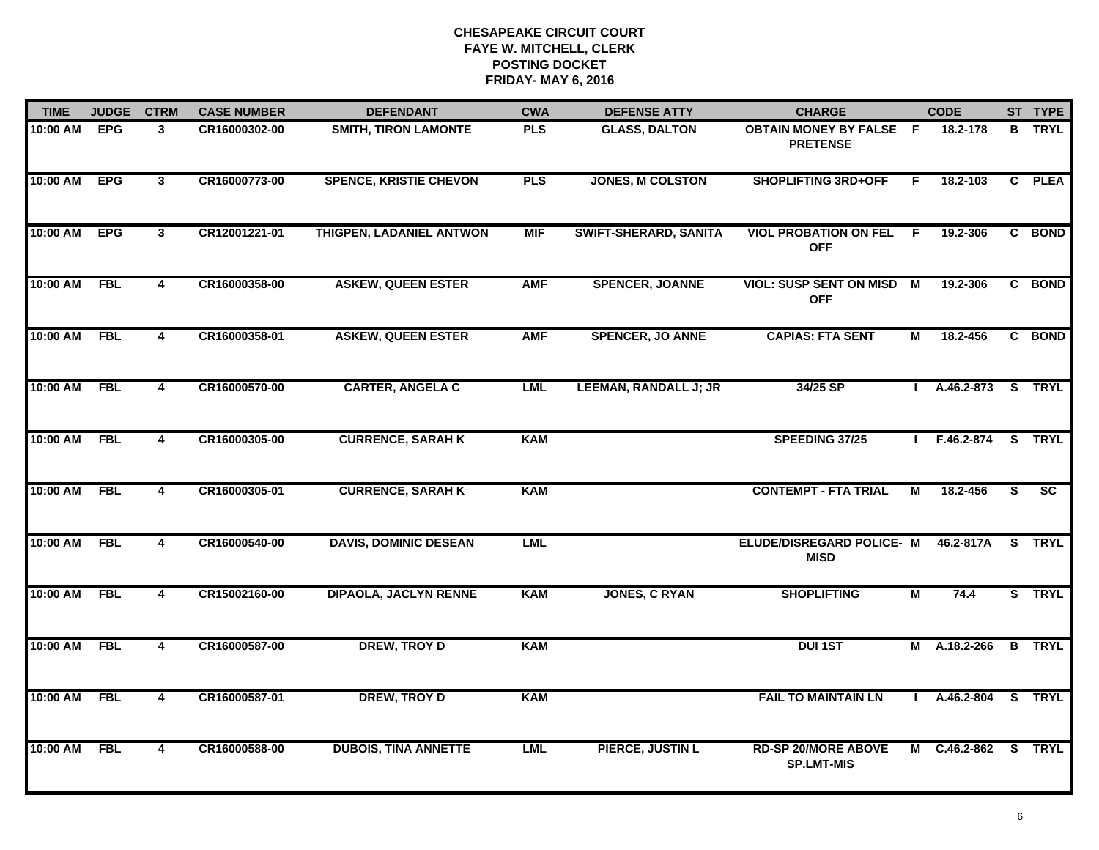| <b>TIME</b>  | <b>JUDGE</b> | <b>CTRM</b>             | <b>CASE NUMBER</b> | <b>DEFENDANT</b>              | <b>CWA</b> | <b>DEFENSE ATTY</b>          | <b>CHARGE</b>                                     |    | <b>CODE</b>         |                         | ST TYPE                  |
|--------------|--------------|-------------------------|--------------------|-------------------------------|------------|------------------------------|---------------------------------------------------|----|---------------------|-------------------------|--------------------------|
| 10:00 AM     | <b>EPG</b>   | 3                       | CR16000302-00      | <b>SMITH, TIRON LAMONTE</b>   | <b>PLS</b> | <b>GLASS, DALTON</b>         | <b>OBTAIN MONEY BY FALSE F</b><br><b>PRETENSE</b> |    | 18.2-178            |                         | <b>B</b> TRYL            |
| 10:00 AM     | <b>EPG</b>   | $\mathbf{3}$            | CR16000773-00      | <b>SPENCE, KRISTIE CHEVON</b> | <b>PLS</b> | <b>JONES, M COLSTON</b>      | <b>SHOPLIFTING 3RD+OFF</b>                        | F  | 18.2-103            |                         | C PLEA                   |
| 10:00 AM     | <b>EPG</b>   | $\mathbf{3}$            | CR12001221-01      | THIGPEN, LADANIEL ANTWON      | <b>MIF</b> | <b>SWIFT-SHERARD, SANITA</b> | <b>VIOL PROBATION ON FEL</b><br><b>OFF</b>        | -F | 19.2-306            |                         | C BOND                   |
| 10:00 AM     | <b>FBL</b>   | 4                       | CR16000358-00      | <b>ASKEW, QUEEN ESTER</b>     | <b>AMF</b> | <b>SPENCER, JOANNE</b>       | <b>VIOL: SUSP SENT ON MISD</b><br><b>OFF</b>      | M  | 19.2-306            |                         | C BOND                   |
| 10:00 AM     | <b>FBL</b>   | 4                       | CR16000358-01      | <b>ASKEW, QUEEN ESTER</b>     | <b>AMF</b> | <b>SPENCER, JO ANNE</b>      | <b>CAPIAS: FTA SENT</b>                           | М  | 18.2-456            |                         | C BOND                   |
| 10:00 AM FBL |              | 4                       | CR16000570-00      | <b>CARTER, ANGELA C</b>       | <b>LML</b> | <b>LEEMAN, RANDALL J; JR</b> | 34/25 SP                                          |    | I A.46.2-873 S TRYL |                         |                          |
| 10:00 AM     | FBL          | $\overline{\mathbf{4}}$ | CR16000305-00      | <b>CURRENCE, SARAH K</b>      | <b>KAM</b> |                              | SPEEDING 37/25                                    |    | F.46.2-874          | $\overline{\mathbf{s}}$ | <b>TRYL</b>              |
| 10:00 AM     | <b>FBL</b>   | $\overline{\mathbf{4}}$ | CR16000305-01      | <b>CURRENCE, SARAH K</b>      | <b>KAM</b> |                              | <b>CONTEMPT - FTA TRIAL</b>                       | М  | 18.2-456            | $\overline{s}$          | $\overline{\mathsf{sc}}$ |
| 10:00 AM     | <b>FBL</b>   | 4                       | CR16000540-00      | <b>DAVIS, DOMINIC DESEAN</b>  | <b>LML</b> |                              | ELUDE/DISREGARD POLICE- M<br><b>MISD</b>          |    | 46.2-817A           |                         | S TRYL                   |
| 10:00 AM     | <b>FBL</b>   | $\overline{\mathbf{4}}$ | CR15002160-00      | <b>DIPAOLA, JACLYN RENNE</b>  | <b>KAM</b> | <b>JONES, C RYAN</b>         | <b>SHOPLIFTING</b>                                | M  | 74.4                |                         | S TRYL                   |
| 10:00 AM     | <b>FBL</b>   | 4                       | CR16000587-00      | <b>DREW, TROY D</b>           | <b>KAM</b> |                              | <b>DUI1ST</b>                                     |    | M A.18.2-266 B TRYL |                         |                          |
| 10:00 AM     | <b>FBL</b>   | 4                       | CR16000587-01      | <b>DREW, TROY D</b>           | <b>KAM</b> |                              | <b>FAIL TO MAINTAIN LN</b>                        |    | A.46.2-804 S TRYL   |                         |                          |
| 10:00 AM     | <b>FBL</b>   | $\overline{\mathbf{4}}$ | CR16000588-00      | <b>DUBOIS, TINA ANNETTE</b>   | <b>LML</b> | PIERCE, JUSTIN L             | <b>RD-SP 20/MORE ABOVE</b><br><b>SP.LMT-MIS</b>   |    | M C.46.2-862 S TRYL |                         |                          |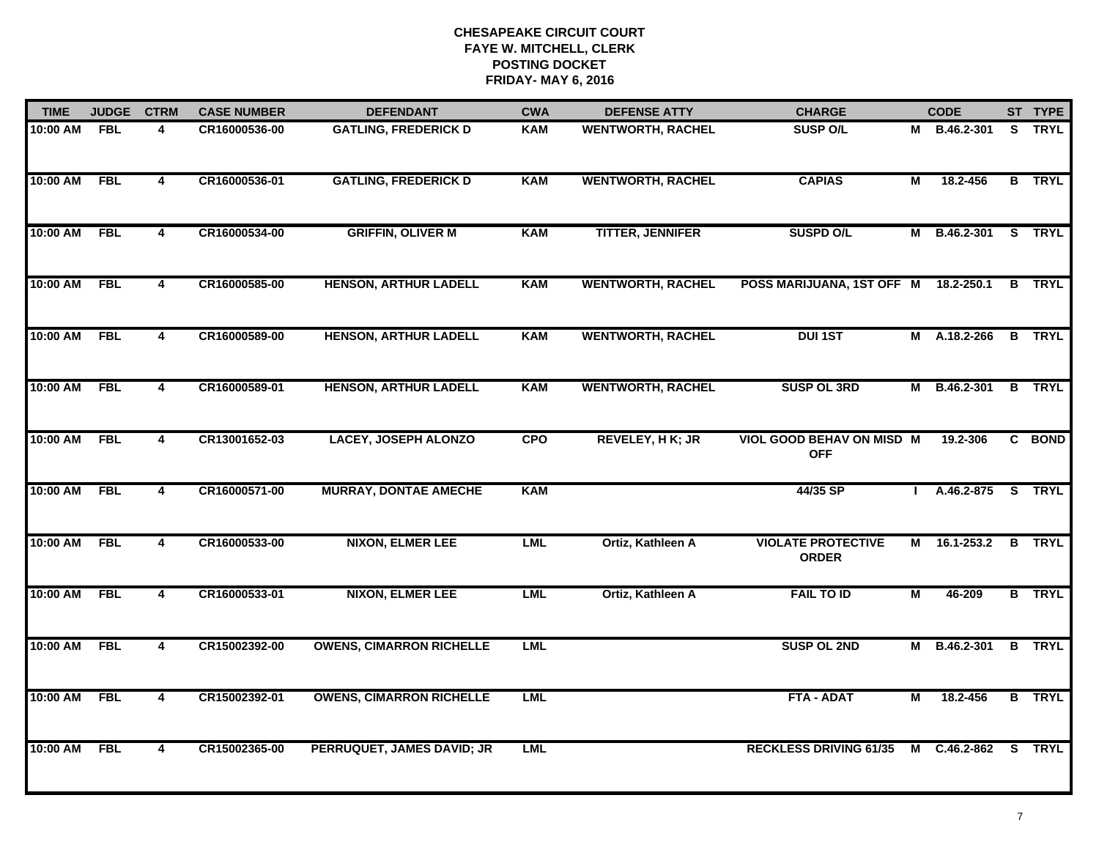| <b>TIME</b> | <b>JUDGE</b> | <b>CTRM</b>             | <b>CASE NUMBER</b> | <b>DEFENDANT</b>                | <b>CWA</b> | <b>DEFENSE ATTY</b>      | <b>CHARGE</b>                                  |   | <b>CODE</b>         | ST TYPE       |
|-------------|--------------|-------------------------|--------------------|---------------------------------|------------|--------------------------|------------------------------------------------|---|---------------------|---------------|
| 10:00 AM    | <b>FBL</b>   | 4                       | CR16000536-00      | <b>GATLING, FREDERICK D</b>     | <b>KAM</b> | <b>WENTWORTH, RACHEL</b> | <b>SUSP O/L</b>                                |   | M B.46.2-301        | S TRYL        |
| 10:00 AM    | FBL          | $\overline{\mathbf{4}}$ | CR16000536-01      | <b>GATLING, FREDERICK D</b>     | <b>KAM</b> | <b>WENTWORTH, RACHEL</b> | <b>CAPIAS</b>                                  | М | 18.2-456            | <b>B</b> TRYL |
| 10:00 AM    | <b>FBL</b>   | 4                       | CR16000534-00      | <b>GRIFFIN, OLIVER M</b>        | <b>KAM</b> | <b>TITTER, JENNIFER</b>  | <b>SUSPD O/L</b>                               |   | M B.46.2-301 S TRYL |               |
| 10:00 AM    | <b>FBL</b>   | 4                       | CR16000585-00      | <b>HENSON, ARTHUR LADELL</b>    | <b>KAM</b> | <b>WENTWORTH, RACHEL</b> | POSS MARIJUANA, 1ST OFF M 18.2-250.1           |   |                     | <b>B</b> TRYL |
| 10:00 AM    | <b>FBL</b>   | 4                       | CR16000589-00      | <b>HENSON, ARTHUR LADELL</b>    | <b>KAM</b> | <b>WENTWORTH, RACHEL</b> | <b>DUI 1ST</b>                                 |   | M A.18.2-266        | <b>B</b> TRYL |
| 10:00 AM    | <b>FBL</b>   | 4                       | CR16000589-01      | <b>HENSON, ARTHUR LADELL</b>    | <b>KAM</b> | <b>WENTWORTH, RACHEL</b> | <b>SUSP OL 3RD</b>                             |   | M B.46.2-301        | <b>B</b> TRYL |
| 10:00 AM    | <b>FBL</b>   | $\overline{\mathbf{4}}$ | CR13001652-03      | <b>LACEY, JOSEPH ALONZO</b>     | <b>CPO</b> | <b>REVELEY, HK; JR</b>   | <b>VIOL GOOD BEHAV ON MISD M</b><br><b>OFF</b> |   | 19.2-306            | C BOND        |
| 10:00 AM    | <b>FBL</b>   | 4                       | CR16000571-00      | <b>MURRAY, DONTAE AMECHE</b>    | <b>KAM</b> |                          | 44/35 SP                                       |   | A.46.2-875 S TRYL   |               |
| 10:00 AM    | <b>FBL</b>   | 4                       | CR16000533-00      | <b>NIXON, ELMER LEE</b>         | <b>LML</b> | Ortiz, Kathleen A        | <b>VIOLATE PROTECTIVE</b><br><b>ORDER</b>      | М | 16.1-253.2          | <b>B</b> TRYL |
| 10:00 AM    | <b>FBL</b>   | $\overline{4}$          | CR16000533-01      | <b>NIXON, ELMER LEE</b>         | <b>LML</b> | Ortiz, Kathleen A        | <b>FAIL TO ID</b>                              | М | 46-209              | <b>B</b> TRYL |
| 10:00 AM    | <b>FBL</b>   | 4                       | CR15002392-00      | <b>OWENS, CIMARRON RICHELLE</b> | <b>LML</b> |                          | <b>SUSP OL 2ND</b>                             |   | M B.46.2-301        | <b>B</b> TRYL |
| 10:00 AM    | FBL          | 4                       | CR15002392-01      | <b>OWENS, CIMARRON RICHELLE</b> | <b>LML</b> |                          | <b>FTA - ADAT</b>                              | М | 18.2-456            | <b>B</b> TRYL |
| 10:00 AM    | <b>FBL</b>   | $\overline{4}$          | CR15002365-00      | PERRUQUET, JAMES DAVID; JR      | <b>LML</b> |                          | <b>RECKLESS DRIVING 61/35</b>                  |   | M C.46.2-862        | S TRYL        |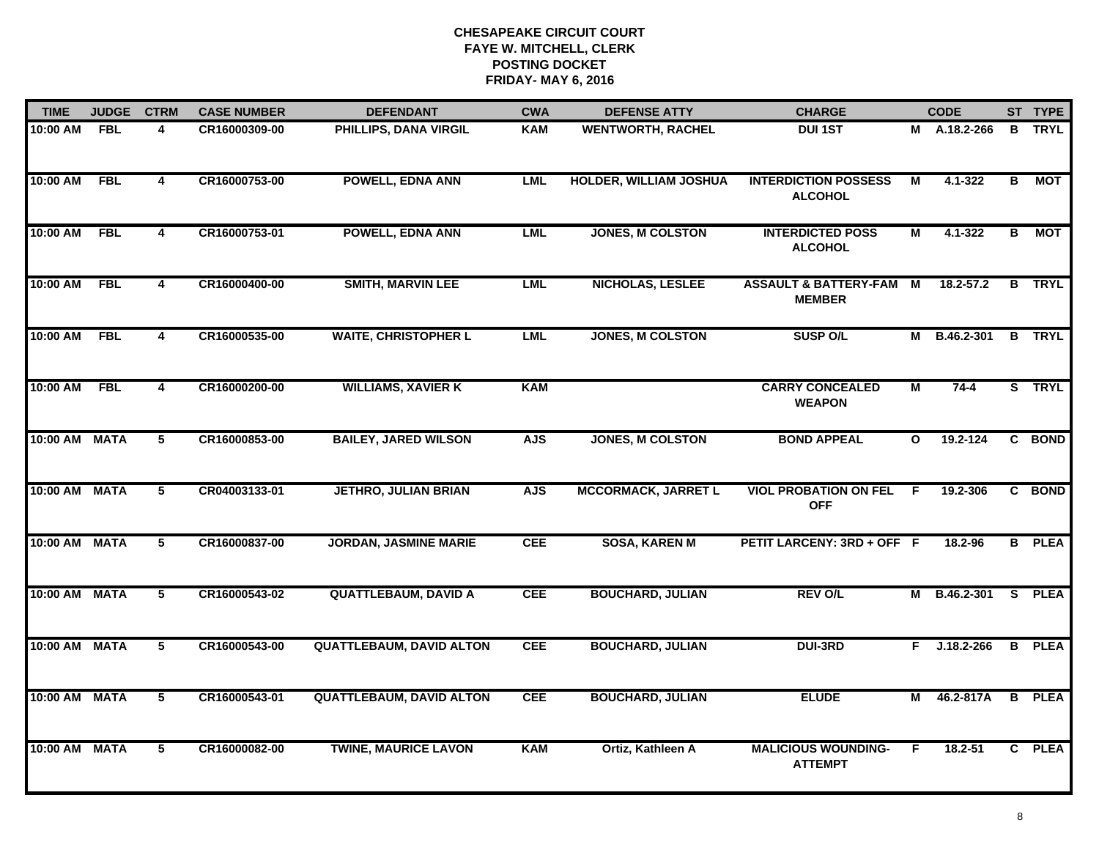| <b>TIME</b>   | <b>JUDGE</b> | <b>CTRM</b>             | <b>CASE NUMBER</b> | <b>DEFENDANT</b>                | <b>CWA</b> | <b>DEFENSE ATTY</b>           | <b>CHARGE</b>                                       |                | <b>CODE</b>    |                | ST TYPE       |
|---------------|--------------|-------------------------|--------------------|---------------------------------|------------|-------------------------------|-----------------------------------------------------|----------------|----------------|----------------|---------------|
| 10:00 AM      | FBL          | 4                       | CR16000309-00      | PHILLIPS, DANA VIRGIL           | <b>KAM</b> | <b>WENTWORTH, RACHEL</b>      | <b>DUI 1ST</b>                                      |                | M A.18.2-266   |                | <b>B</b> TRYL |
| 10:00 AM      | FBL          | $\overline{\mathbf{4}}$ | CR16000753-00      | <b>POWELL, EDNA ANN</b>         | <b>LML</b> | <b>HOLDER, WILLIAM JOSHUA</b> | <b>INTERDICTION POSSESS</b><br><b>ALCOHOL</b>       | М              | $4.1 - 322$    | $\overline{B}$ | <b>MOT</b>    |
| 10:00 AM      | FBL          | 4                       | CR16000753-01      | <b>POWELL, EDNA ANN</b>         | <b>LML</b> | <b>JONES, M COLSTON</b>       | <b>INTERDICTED POSS</b><br><b>ALCOHOL</b>           | М              | $4.1 - 322$    | $\overline{B}$ | MOT           |
| 10:00 AM      | <b>FBL</b>   | 4                       | CR16000400-00      | <b>SMITH, MARVIN LEE</b>        | <b>LML</b> | <b>NICHOLAS, LESLEE</b>       | <b>ASSAULT &amp; BATTERY-FAM M</b><br><b>MEMBER</b> |                | 18.2-57.2      |                | <b>B</b> TRYL |
| 10:00 AM      | <b>FBL</b>   | 4                       | CR16000535-00      | <b>WAITE, CHRISTOPHER L</b>     | <b>LML</b> | <b>JONES, M COLSTON</b>       | <b>SUSP O/L</b>                                     |                | M B.46.2-301   |                | <b>B</b> TRYL |
| 10:00 AM      | <b>FBL</b>   | $\overline{4}$          | CR16000200-00      | <b>WILLIAMS, XAVIER K</b>       | <b>KAM</b> |                               | <b>CARRY CONCEALED</b><br><b>WEAPON</b>             | $\overline{M}$ | $74 - 4$       |                | S TRYL        |
| 10:00 AM MATA |              | 5                       | CR16000853-00      | <b>BAILEY, JARED WILSON</b>     | <b>AJS</b> | <b>JONES, M COLSTON</b>       | <b>BOND APPEAL</b>                                  | $\mathbf{o}$   | 19.2-124       |                | C BOND        |
| 10:00 AM MATA |              | 5                       | CR04003133-01      | <b>JETHRO, JULIAN BRIAN</b>     | <b>AJS</b> | <b>MCCORMACK, JARRET L</b>    | <b>VIOL PROBATION ON FEL</b><br><b>OFF</b>          | F.             | 19.2-306       |                | C BOND        |
| 10:00 AM MATA |              | 5                       | CR16000837-00      | <b>JORDAN, JASMINE MARIE</b>    | <b>CEE</b> | <b>SOSA, KAREN M</b>          | PETIT LARCENY: 3RD + OFF F                          |                | 18.2-96        |                | <b>B</b> PLEA |
| 10:00 AM MATA |              | 5                       | CR16000543-02      | <b>QUATTLEBAUM, DAVID A</b>     | CEE        | <b>BOUCHARD, JULIAN</b>       | <b>REV O/L</b>                                      |                | M B.46.2-301   |                | S PLEA        |
| 10:00 AM MATA |              | 5                       | CR16000543-00      | <b>QUATTLEBAUM, DAVID ALTON</b> | <b>CEE</b> | <b>BOUCHARD, JULIAN</b>       | <b>DUI-3RD</b>                                      | F.             | $J.18.2 - 266$ |                | <b>B</b> PLEA |
| 10:00 AM MATA |              | $\overline{5}$          | CR16000543-01      | <b>QUATTLEBAUM, DAVID ALTON</b> | <b>CEE</b> | <b>BOUCHARD, JULIAN</b>       | <b>ELUDE</b>                                        | M              | 46.2-817A      |                | <b>B</b> PLEA |
| 10:00 AM MATA |              | 5                       | CR16000082-00      | <b>TWINE, MAURICE LAVON</b>     | <b>KAM</b> | Ortiz, Kathleen A             | <b>MALICIOUS WOUNDING-</b><br><b>ATTEMPT</b>        | F.             | 18.2-51        |                | C PLEA        |